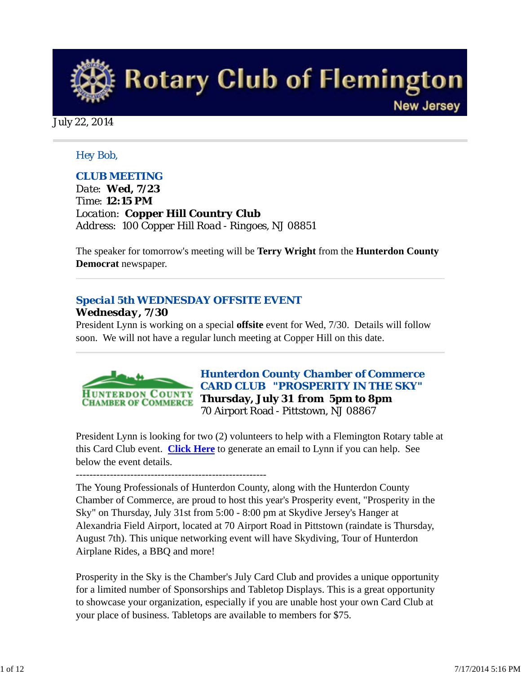

July 22, 2014

#### *Hey Bob,*

#### *CLUB MEETING*

*Date: Wed, 7/23 Time: 12:15 PM Location: Copper Hill Country Club Address: 100 Copper Hill Road - Ringoes, NJ 08851* 

The speaker for tomorrow's meeting will be **Terry Wright** from the **Hunterdon County Democrat** newspaper.

# *Special 5th WEDNESDAY OFFSITE EVENT Wednesday, 7/30*

President Lynn is working on a special **offsite** event for Wed, 7/30. Details will follow soon. We will not have a regular lunch meeting at Copper Hill on this date.



*Hunterdon County Chamber of Commerce CARD CLUB "PROSPERITY IN THE SKY"* **Thursday, July 31 from 5pm to 8pm** 70 Airport Road - Pittstown, NJ 08867

President Lynn is looking for two (2) volunteers to help with a Flemington Rotary table at this Card Club event. **Click Here** to generate an email to Lynn if you can help. See below the event details.

--------------------------------------------------------

The Young Professionals of Hunterdon County, along with the Hunterdon County Chamber of Commerce, are proud to host this year's Prosperity event, "Prosperity in the Sky" on Thursday, July 31st from 5:00 - 8:00 pm at Skydive Jersey's Hanger at Alexandria Field Airport, located at 70 Airport Road in Pittstown (raindate is Thursday, August 7th). This unique networking event will have Skydiving, Tour of Hunterdon Airplane Rides, a BBQ and more!

Prosperity in the Sky is the Chamber's July Card Club and provides a unique opportunity for a limited number of Sponsorships and Tabletop Displays. This is a great opportunity to showcase your organization, especially if you are unable host your own Card Club at your place of business. Tabletops are available to members for \$75.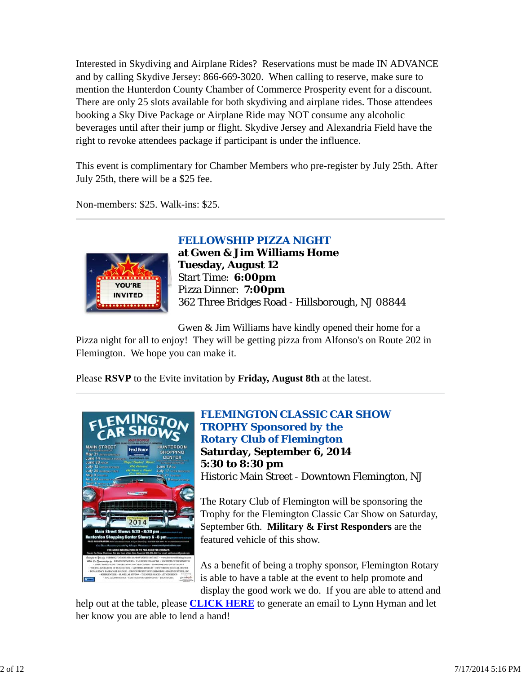Interested in Skydiving and Airplane Rides? Reservations must be made IN ADVANCE and by calling Skydive Jersey: 866-669-3020. When calling to reserve, make sure to mention the Hunterdon County Chamber of Commerce Prosperity event for a discount. There are only 25 slots available for both skydiving and airplane rides. Those attendees booking a Sky Dive Package or Airplane Ride may NOT consume any alcoholic beverages until after their jump or flight. Skydive Jersey and Alexandria Field have the right to revoke attendees package if participant is under the influence.

This event is complimentary for Chamber Members who pre-register by July 25th. After July 25th, there will be a \$25 fee.

Non-members: \$25. Walk-ins: \$25.



# *FELLOWSHIP PIZZA NIGHT*

**at Gwen & Jim Williams Home Tuesday, August 12** Start Time: **6:00pm** Pizza Dinner: **7:00pm** 362 Three Bridges Road - Hillsborough, NJ 08844

Gwen & Jim Williams have kindly opened their home for a

Pizza night for all to enjoy! They will be getting pizza from Alfonso's on Route 202 in Flemington. We hope you can make it.

Please **RSVP** to the Evite invitation by **Friday, August 8th** at the latest.



*FLEMINGTON CLASSIC CAR SHOW TROPHY Sponsored by the Rotary Club of Flemington* **Saturday, September 6, 2014 5:30 to 8:30 pm** Historic Main Street - Downtown Flemington, NJ

The Rotary Club of Flemington will be sponsoring the Trophy for the Flemington Classic Car Show on Saturday, September 6th. **Military & First Responders** are the featured vehicle of this show.

As a benefit of being a trophy sponsor, Flemington Rotary is able to have a table at the event to help promote and display the good work we do. If you are able to attend and

help out at the table, please **CLICK HERE** to generate an email to Lynn Hyman and let her know you are able to lend a hand!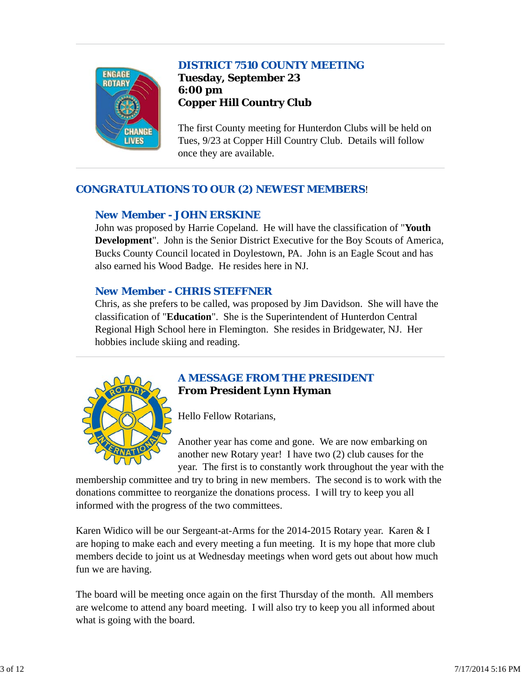# *DISTRICT 7510 COUNTY MEETING*



**Tuesday, September 23 6:00 pm Copper Hill Country Club**

The first County meeting for Hunterdon Clubs will be held on Tues, 9/23 at Copper Hill Country Club. Details will follow once they are available.

# *CONGRATULATIONS TO OUR (2) NEWEST MEMBERS*!

#### *New Member - JOHN ERSKINE*

John was proposed by Harrie Copeland. He will have the classification of "**Youth Development**". John is the Senior District Executive for the Boy Scouts of America, Bucks County Council located in Doylestown, PA. John is an Eagle Scout and has also earned his Wood Badge. He resides here in NJ.

#### *New Member - CHRIS STEFFNER*

Chris, as she prefers to be called, was proposed by Jim Davidson. She will have the classification of "**Education**". She is the Superintendent of Hunterdon Central Regional High School here in Flemington. She resides in Bridgewater, NJ. Her hobbies include skiing and reading.



# *A MESSAGE FROM THE PRESIDENT* **From President Lynn Hyman**

Hello Fellow Rotarians,

Another year has come and gone. We are now embarking on another new Rotary year! I have two (2) club causes for the year. The first is to constantly work throughout the year with the

membership committee and try to bring in new members. The second is to work with the donations committee to reorganize the donations process. I will try to keep you all informed with the progress of the two committees.

Karen Widico will be our Sergeant-at-Arms for the 2014-2015 Rotary year. Karen & I are hoping to make each and every meeting a fun meeting. It is my hope that more club members decide to joint us at Wednesday meetings when word gets out about how much fun we are having.

The board will be meeting once again on the first Thursday of the month. All members are welcome to attend any board meeting. I will also try to keep you all informed about what is going with the board.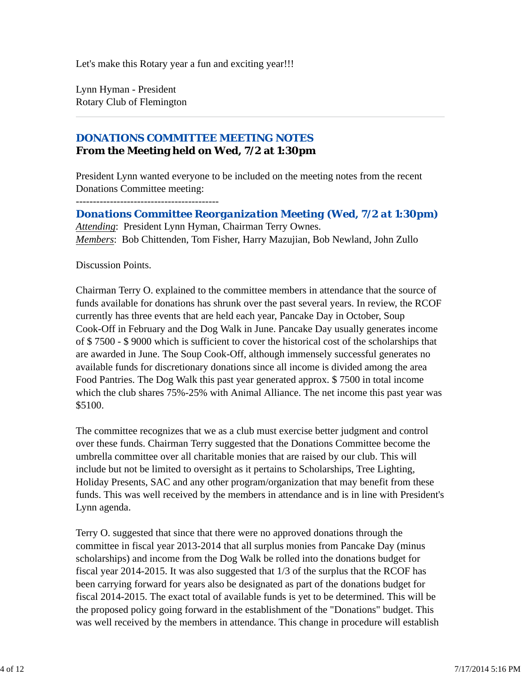Let's make this Rotary year a fun and exciting year!!!

Lynn Hyman - President Rotary Club of Flemington

# *DONATIONS COMMITTEE MEETING NOTES* **From the Meeting held on Wed, 7/2 at 1:30pm**

President Lynn wanted everyone to be included on the meeting notes from the recent Donations Committee meeting:

------------------------------------------

*Donations Committee Reorganization Meeting (Wed, 7/2 at 1:30pm) Attending*: President Lynn Hyman, Chairman Terry Ownes. *Members*: Bob Chittenden, Tom Fisher, Harry Mazujian, Bob Newland, John Zullo

Discussion Points.

Chairman Terry O. explained to the committee members in attendance that the source of funds available for donations has shrunk over the past several years. In review, the RCOF currently has three events that are held each year, Pancake Day in October, Soup Cook-Off in February and the Dog Walk in June. Pancake Day usually generates income of \$ 7500 - \$ 9000 which is sufficient to cover the historical cost of the scholarships that are awarded in June. The Soup Cook-Off, although immensely successful generates no available funds for discretionary donations since all income is divided among the area Food Pantries. The Dog Walk this past year generated approx. \$ 7500 in total income which the club shares 75%-25% with Animal Alliance. The net income this past year was \$5100.

The committee recognizes that we as a club must exercise better judgment and control over these funds. Chairman Terry suggested that the Donations Committee become the umbrella committee over all charitable monies that are raised by our club. This will include but not be limited to oversight as it pertains to Scholarships, Tree Lighting, Holiday Presents, SAC and any other program/organization that may benefit from these funds. This was well received by the members in attendance and is in line with President's Lynn agenda.

Terry O. suggested that since that there were no approved donations through the committee in fiscal year 2013-2014 that all surplus monies from Pancake Day (minus scholarships) and income from the Dog Walk be rolled into the donations budget for fiscal year 2014-2015. It was also suggested that 1/3 of the surplus that the RCOF has been carrying forward for years also be designated as part of the donations budget for fiscal 2014-2015. The exact total of available funds is yet to be determined. This will be the proposed policy going forward in the establishment of the "Donations" budget. This was well received by the members in attendance. This change in procedure will establish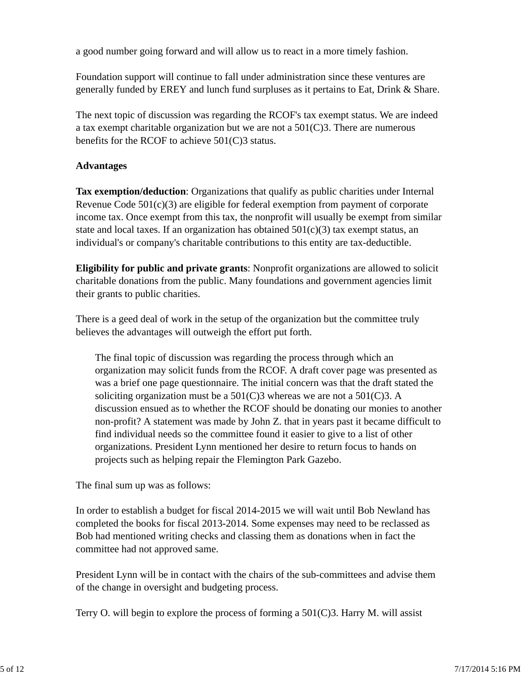a good number going forward and will allow us to react in a more timely fashion.

Foundation support will continue to fall under administration since these ventures are generally funded by EREY and lunch fund surpluses as it pertains to Eat, Drink & Share.

The next topic of discussion was regarding the RCOF's tax exempt status. We are indeed a tax exempt charitable organization but we are not a 501(C)3. There are numerous benefits for the RCOF to achieve 501(C)3 status.

#### **Advantages**

**Tax exemption/deduction**: Organizations that qualify as public charities under Internal Revenue Code 501(c)(3) are eligible for federal exemption from payment of corporate income tax. Once exempt from this tax, the nonprofit will usually be exempt from similar state and local taxes. If an organization has obtained  $501(c)(3)$  tax exempt status, an individual's or company's charitable contributions to this entity are tax-deductible.

**Eligibility for public and private grants**: Nonprofit organizations are allowed to solicit charitable donations from the public. Many foundations and government agencies limit their grants to public charities.

There is a geed deal of work in the setup of the organization but the committee truly believes the advantages will outweigh the effort put forth.

The final topic of discussion was regarding the process through which an organization may solicit funds from the RCOF. A draft cover page was presented as was a brief one page questionnaire. The initial concern was that the draft stated the soliciting organization must be a  $501(C)3$  whereas we are not a  $501(C)3$ . A discussion ensued as to whether the RCOF should be donating our monies to another non-profit? A statement was made by John Z. that in years past it became difficult to find individual needs so the committee found it easier to give to a list of other organizations. President Lynn mentioned her desire to return focus to hands on projects such as helping repair the Flemington Park Gazebo.

The final sum up was as follows:

In order to establish a budget for fiscal 2014-2015 we will wait until Bob Newland has completed the books for fiscal 2013-2014. Some expenses may need to be reclassed as Bob had mentioned writing checks and classing them as donations when in fact the committee had not approved same.

President Lynn will be in contact with the chairs of the sub-committees and advise them of the change in oversight and budgeting process.

Terry O. will begin to explore the process of forming a  $501(C)3$ . Harry M. will assist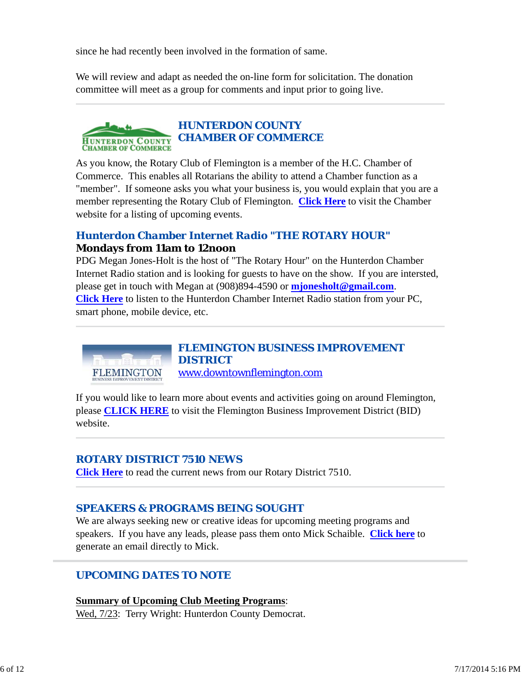since he had recently been involved in the formation of same.

We will review and adapt as needed the on-line form for solicitation. The donation committee will meet as a group for comments and input prior to going live.

#### *HUNTERDON COUNTY CHAMBER OF COMMERCE* **HUNTERDON COUNTY CHAMBER OF COMMERCE**

As you know, the Rotary Club of Flemington is a member of the H.C. Chamber of Commerce. This enables all Rotarians the ability to attend a Chamber function as a "member". If someone asks you what your business is, you would explain that you are a member representing the Rotary Club of Flemington. **Click Here** to visit the Chamber website for a listing of upcoming events.

# *Hunterdon Chamber Internet Radio "THE ROTARY HOUR"* **Mondays from 11am to 12noon**

PDG Megan Jones-Holt is the host of "The Rotary Hour" on the Hunterdon Chamber Internet Radio station and is looking for guests to have on the show. If you are intersted, please get in touch with Megan at (908)894-4590 or **mjonesholt@gmail.com**. **Click Here** to listen to the Hunterdon Chamber Internet Radio station from your PC, smart phone, mobile device, etc.

> *FLEMINGTON BUSINESS IMPROVEMENT DISTRICT* www.downtownflemington.com

If you would like to learn more about events and activities going on around Flemington, please **CLICK HERE** to visit the Flemington Business Improvement District (BID) website.

# *ROTARY DISTRICT 7510 NEWS*

FLEMINGTON

**Click Here** to read the current news from our Rotary District 7510.

# *SPEAKERS & PROGRAMS BEING SOUGHT*

We are always seeking new or creative ideas for upcoming meeting programs and speakers. If you have any leads, please pass them onto Mick Schaible. **Click here** to generate an email directly to Mick.

# *UPCOMING DATES TO NOTE*

**Summary of Upcoming Club Meeting Programs**: Wed, 7/23: Terry Wright: Hunterdon County Democrat.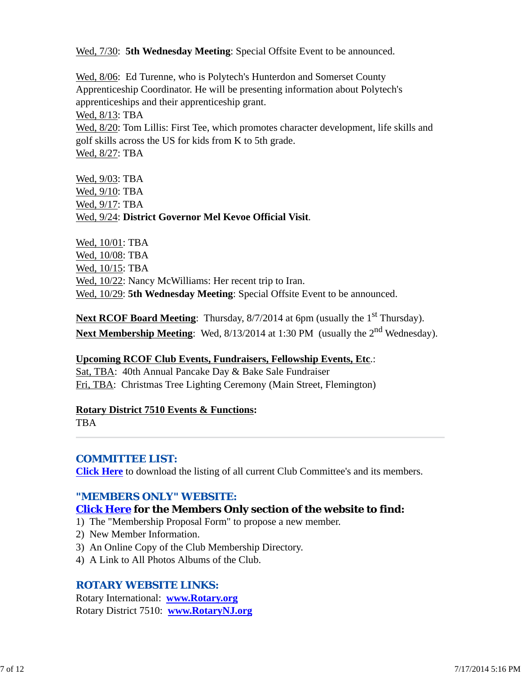Wed,  $7/30$ : **5th Wednesday Meeting**: Special Offsite Event to be announced.

Wed, 8/06: Ed Turenne, who is Polytech's Hunterdon and Somerset County Apprenticeship Coordinator. He will be presenting information about Polytech's apprenticeships and their apprenticeship grant. Wed, 8/13: TBA Wed,  $8/20$ : Tom Lillis: First Tee, which promotes character development, life skills and golf skills across the US for kids from K to 5th grade. Wed, 8/27: TBA

Wed, 9/03: TBA Wed, 9/10: TBA Wed, 9/17: TBA Wed, 9/24: **District Governor Mel Kevoe Official Visit**.

Wed, 10/01: TBA Wed, 10/08: TBA Wed, 10/15: TBA Wed,  $10/22$ : Nancy McWilliams: Her recent trip to Iran. Wed, 10/29: **5th Wednesday Meeting**: Special Offsite Event to be announced.

**Next RCOF Board Meeting**: Thursday, 8/7/2014 at 6pm (usually the 1<sup>st</sup> Thursday). Next Membership Meeting: Wed, 8/13/2014 at 1:30 PM (usually the 2<sup>nd</sup> Wednesday).

**Upcoming RCOF Club Events, Fundraisers, Fellowship Events, Etc**.:

Sat, TBA: 40th Annual Pancake Day & Bake Sale Fundraiser Fri, TBA: Christmas Tree Lighting Ceremony (Main Street, Flemington)

#### **Rotary District 7510 Events & Functions:**

TBA

# *COMMITTEE LIST:*

**Click Here** to download the listing of all current Club Committee's and its members.

# *"MEMBERS ONLY" WEBSITE:*

# **Click Here for the Members Only section of the website to find:**

- 1) The "Membership Proposal Form" to propose a new member.
- 2) New Member Information.
- 3) An Online Copy of the Club Membership Directory.
- 4) A Link to All Photos Albums of the Club.

#### *ROTARY WEBSITE LINKS:*

Rotary International: **www.Rotary.org** Rotary District 7510: **www.RotaryNJ.org**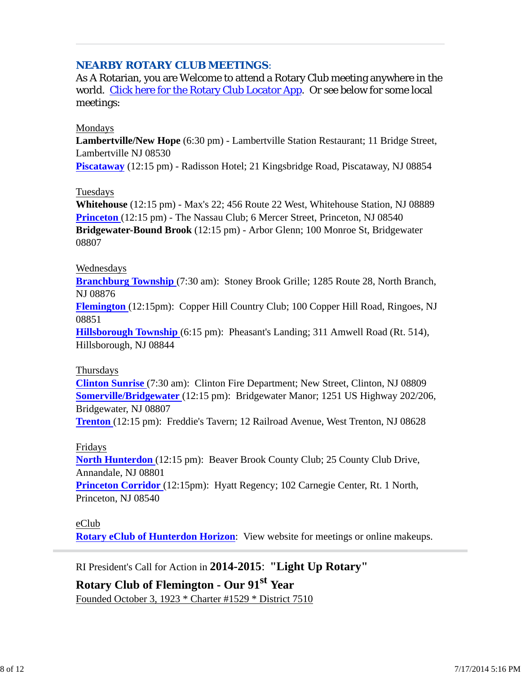#### *NEARBY ROTARY CLUB MEETINGS:*

As A Rotarian, you are Welcome to attend a Rotary Club meeting anywhere in the world. Click here for the Rotary Club Locator App. Or see below for some local meetings:

#### Mondays

**Lambertville/New Hope** (6:30 pm) - Lambertville Station Restaurant; 11 Bridge Street, Lambertville NJ 08530

**Piscataway** (12:15 pm) - Radisson Hotel; 21 Kingsbridge Road, Piscataway, NJ 08854

#### Tuesdays

**Whitehouse** (12:15 pm) - Max's 22; 456 Route 22 West, Whitehouse Station, NJ 08889 **Princeton** (12:15 pm) - The Nassau Club; 6 Mercer Street, Princeton, NJ 08540 **Bridgewater-Bound Brook** (12:15 pm) - Arbor Glenn; 100 Monroe St, Bridgewater 08807

#### Wednesdays

**Branchburg Township** (7:30 am): Stoney Brook Grille; 1285 Route 28, North Branch, NJ 08876

**Flemington** (12:15pm): Copper Hill Country Club; 100 Copper Hill Road, Ringoes, NJ 08851

**Hillsborough Township** (6:15 pm): Pheasant's Landing; 311 Amwell Road (Rt. 514), Hillsborough, NJ 08844

#### Thursdays

**Clinton Sunrise** (7:30 am): Clinton Fire Department; New Street, Clinton, NJ 08809 **Somerville/Bridgewater** (12:15 pm): Bridgewater Manor; 1251 US Highway 202/206, Bridgewater, NJ 08807

**Trenton** (12:15 pm): Freddie's Tavern; 12 Railroad Avenue, West Trenton, NJ 08628

#### Fridays

**North Hunterdon** (12:15 pm): Beaver Brook County Club; 25 County Club Drive, Annandale, NJ 08801

**Princeton Corridor** (12:15pm): Hyatt Regency; 102 Carnegie Center, Rt. 1 North, Princeton, NJ 08540

#### eClub

**Rotary eClub of Hunterdon Horizon**: View website for meetings or online makeups.

RI President's Call for Action in **2014-2015**: **"Light Up Rotary"**

# **Rotary Club of Flemington - Our 91st Year** Founded October 3, 1923 \* Charter #1529 \* District 7510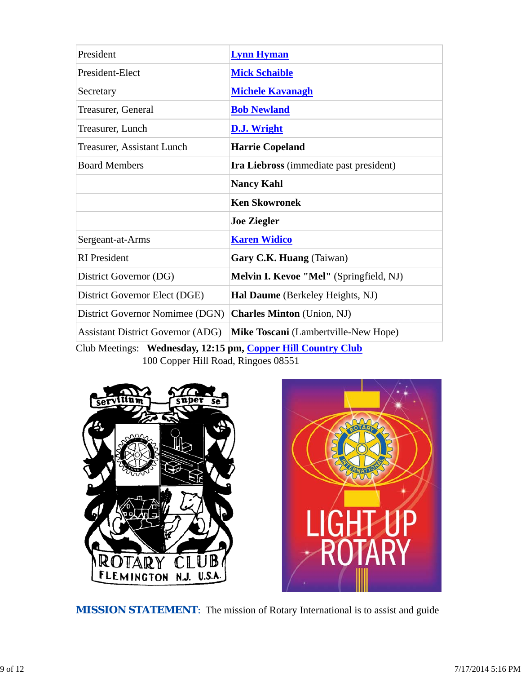| President                                | <b>Lynn Hyman</b>                       |  |  |
|------------------------------------------|-----------------------------------------|--|--|
| President-Elect                          | <b>Mick Schaible</b>                    |  |  |
| Secretary                                | <b>Michele Kavanagh</b>                 |  |  |
| Treasurer, General                       | <b>Bob Newland</b>                      |  |  |
| Treasurer, Lunch                         | D.J. Wright                             |  |  |
| <b>Treasurer, Assistant Lunch</b>        | <b>Harrie Copeland</b>                  |  |  |
| <b>Board Members</b>                     | Ira Liebross (immediate past president) |  |  |
|                                          | <b>Nancy Kahl</b>                       |  |  |
|                                          | <b>Ken Skowronek</b>                    |  |  |
|                                          | <b>Joe Ziegler</b>                      |  |  |
| Sergeant-at-Arms                         | <b>Karen Widico</b>                     |  |  |
| <b>RI</b> President                      | Gary C.K. Huang (Taiwan)                |  |  |
| District Governor (DG)                   | Melvin I. Kevoe "Mel" (Springfield, NJ) |  |  |
| District Governor Elect (DGE)            | Hal Daume (Berkeley Heights, NJ)        |  |  |
| District Governor Nomimee (DGN)          | <b>Charles Minton</b> (Union, NJ)       |  |  |
| <b>Assistant District Governor (ADG)</b> | Mike Toscani (Lambertville-New Hope)    |  |  |

Club Meetings: **Wednesday, 12:15 pm, Copper Hill Country Club** 100 Copper Hill Road, Ringoes 08551





**MISSION STATEMENT:** The mission of Rotary International is to assist and guide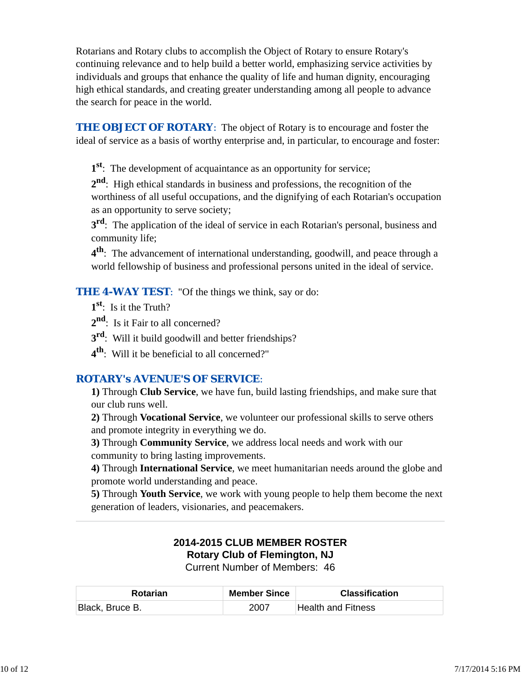Rotarians and Rotary clubs to accomplish the Object of Rotary to ensure Rotary's continuing relevance and to help build a better world, emphasizing service activities by individuals and groups that enhance the quality of life and human dignity, encouraging high ethical standards, and creating greater understanding among all people to advance the search for peace in the world.

**THE OBJECT OF ROTARY:** The object of Rotary is to encourage and foster the ideal of service as a basis of worthy enterprise and, in particular, to encourage and foster:

**1st**: The development of acquaintance as an opportunity for service;

**2nd**: High ethical standards in business and professions, the recognition of the worthiness of all useful occupations, and the dignifying of each Rotarian's occupation as an opportunity to serve society;

**3rd**: The application of the ideal of service in each Rotarian's personal, business and community life;

**4th**: The advancement of international understanding, goodwill, and peace through a world fellowship of business and professional persons united in the ideal of service.

*THE 4-WAY TEST*: "Of the things we think, say or do:

- **1st**: Is it the Truth?
- 2<sup>nd</sup>: Is it Fair to all concerned?
- **3rd**: Will it build goodwill and better friendships?
- **4th**: Will it be beneficial to all concerned?"

# *ROTARY's AVENUE'S OF SERVICE*:

**1)** Through **Club Service**, we have fun, build lasting friendships, and make sure that our club runs well.

**2)** Through **Vocational Service**, we volunteer our professional skills to serve others and promote integrity in everything we do.

**3)** Through **Community Service**, we address local needs and work with our community to bring lasting improvements.

**4)** Through **International Service**, we meet humanitarian needs around the globe and promote world understanding and peace.

**5)** Through **Youth Service**, we work with young people to help them become the next generation of leaders, visionaries, and peacemakers.

#### **2014-2015 CLUB MEMBER ROSTER Rotary Club of Flemington, NJ** Current Number of Members: 46

| <b>Rotarian</b> | <b>Member Since</b> | <b>Classification</b> |
|-----------------|---------------------|-----------------------|
| Black, Bruce B. | 2007                | Health and Fitness    |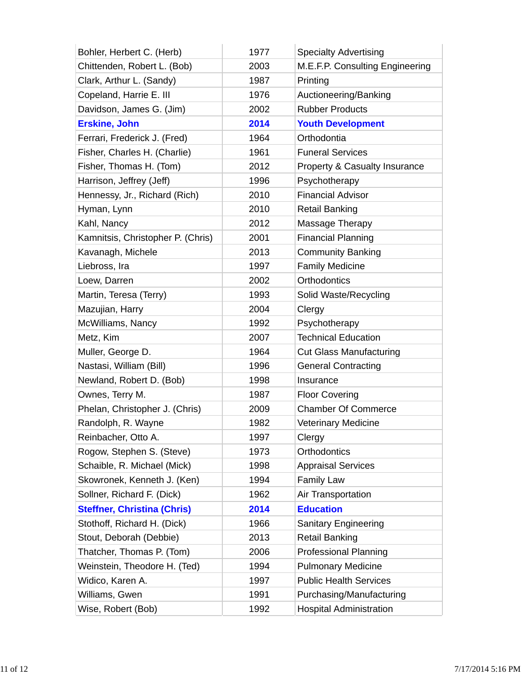| Bohler, Herbert C. (Herb)          | 1977 | <b>Specialty Advertising</b>    |
|------------------------------------|------|---------------------------------|
| Chittenden, Robert L. (Bob)        | 2003 | M.E.F.P. Consulting Engineering |
| Clark, Arthur L. (Sandy)           | 1987 | Printing                        |
| Copeland, Harrie E. III            | 1976 | Auctioneering/Banking           |
| Davidson, James G. (Jim)           | 2002 | <b>Rubber Products</b>          |
| <b>Erskine, John</b>               | 2014 | <b>Youth Development</b>        |
| Ferrari, Frederick J. (Fred)       | 1964 | Orthodontia                     |
| Fisher, Charles H. (Charlie)       | 1961 | <b>Funeral Services</b>         |
| Fisher, Thomas H. (Tom)            | 2012 | Property & Casualty Insurance   |
| Harrison, Jeffrey (Jeff)           | 1996 | Psychotherapy                   |
| Hennessy, Jr., Richard (Rich)      | 2010 | <b>Financial Advisor</b>        |
| Hyman, Lynn                        | 2010 | <b>Retail Banking</b>           |
| Kahl, Nancy                        | 2012 | Massage Therapy                 |
| Kamnitsis, Christopher P. (Chris)  | 2001 | <b>Financial Planning</b>       |
| Kavanagh, Michele                  | 2013 | <b>Community Banking</b>        |
| Liebross, Ira                      | 1997 | <b>Family Medicine</b>          |
| Loew, Darren                       | 2002 | Orthodontics                    |
| Martin, Teresa (Terry)             | 1993 | Solid Waste/Recycling           |
| Mazujian, Harry                    | 2004 | Clergy                          |
| McWilliams, Nancy                  | 1992 | Psychotherapy                   |
| Metz, Kim                          | 2007 | <b>Technical Education</b>      |
| Muller, George D.                  | 1964 | <b>Cut Glass Manufacturing</b>  |
| Nastasi, William (Bill)            | 1996 | <b>General Contracting</b>      |
| Newland, Robert D. (Bob)           | 1998 | Insurance                       |
| Ownes, Terry M.                    | 1987 | <b>Floor Covering</b>           |
| Phelan, Christopher J. (Chris)     | 2009 | <b>Chamber Of Commerce</b>      |
| Randolph, R. Wayne                 | 1982 | <b>Veterinary Medicine</b>      |
| Reinbacher, Otto A.                | 1997 | Clergy                          |
| Rogow, Stephen S. (Steve)          | 1973 | Orthodontics                    |
| Schaible, R. Michael (Mick)        | 1998 | <b>Appraisal Services</b>       |
| Skowronek, Kenneth J. (Ken)        | 1994 | <b>Family Law</b>               |
| Sollner, Richard F. (Dick)         | 1962 | Air Transportation              |
| <b>Steffner, Christina (Chris)</b> | 2014 | <b>Education</b>                |
| Stothoff, Richard H. (Dick)        | 1966 | <b>Sanitary Engineering</b>     |
| Stout, Deborah (Debbie)            | 2013 | <b>Retail Banking</b>           |
| Thatcher, Thomas P. (Tom)          | 2006 | <b>Professional Planning</b>    |
| Weinstein, Theodore H. (Ted)       | 1994 | <b>Pulmonary Medicine</b>       |
| Widico, Karen A.                   | 1997 | <b>Public Health Services</b>   |
| Williams, Gwen                     | 1991 | Purchasing/Manufacturing        |
| Wise, Robert (Bob)                 | 1992 | <b>Hospital Administration</b>  |